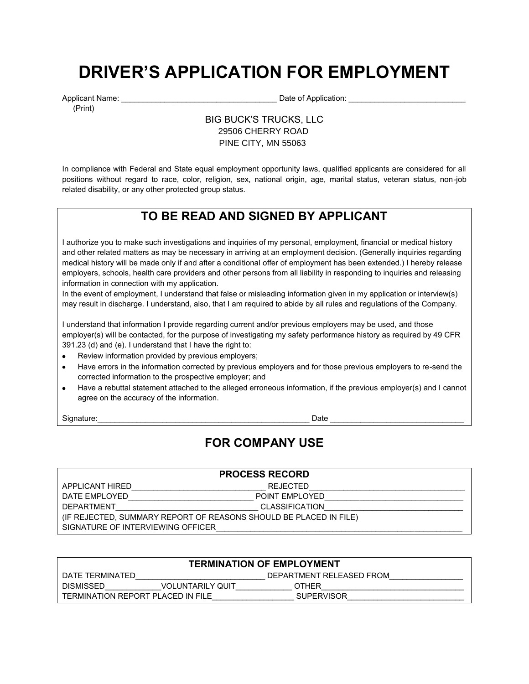## **DRIVER'S APPLICATION FOR EMPLOYMENT**

(Print)

Applicant Name: \_\_\_\_\_\_\_\_\_\_\_\_\_\_\_\_\_\_\_\_\_\_\_\_\_\_\_\_\_\_\_\_\_\_\_\_ Date of Application: \_\_\_\_\_\_\_\_\_\_\_\_\_\_\_\_\_\_\_\_\_\_\_\_\_\_\_

BIG BUCK'S TRUCKS, LLC 29506 CHERRY ROAD PINE CITY, MN 55063

In compliance with Federal and State equal employment opportunity laws, qualified applicants are considered for all positions without regard to race, color, religion, sex, national origin, age, marital status, veteran status, non-job related disability, or any other protected group status.

## **TO BE READ AND SIGNED BY APPLICANT**

I authorize you to make such investigations and inquiries of my personal, employment, financial or medical history and other related matters as may be necessary in arriving at an employment decision. (Generally inquiries regarding medical history will be made only if and after a conditional offer of employment has been extended.) I hereby release employers, schools, health care providers and other persons from all liability in responding to inquiries and releasing information in connection with my application.

In the event of employment, I understand that false or misleading information given in my application or interview(s) may result in discharge. I understand, also, that I am required to abide by all rules and regulations of the Company.

I understand that information I provide regarding current and/or previous employers may be used, and those employer(s) will be contacted, for the purpose of investigating my safety performance history as required by 49 CFR 391.23 (d) and (e). I understand that I have the right to:

- Review information provided by previous employers;
- Have errors in the information corrected by previous employers and for those previous employers to re-send the corrected information to the prospective employer; and
- Have a rebuttal statement attached to the alleged erroneous information, if the previous employer(s) and I cannot agree on the accuracy of the information.

Signature:\_\_\_\_\_\_\_\_\_\_\_\_\_\_\_\_\_\_\_\_\_\_\_\_\_\_\_\_\_\_\_\_\_\_\_\_\_\_\_\_\_\_\_\_\_\_\_\_\_ Date \_\_\_\_\_\_\_\_\_\_\_\_\_\_\_\_\_\_\_\_\_\_\_\_\_\_\_\_\_\_\_

## **FOR COMPANY USE**

| <b>PROCESS RECORD</b>                                             |                       |  |  |  |  |  |
|-------------------------------------------------------------------|-----------------------|--|--|--|--|--|
| APPLICANT HIRED                                                   | <b>REJECTED</b>       |  |  |  |  |  |
| DATE EMPLOYED                                                     | POINT EMPLOYED        |  |  |  |  |  |
| <b>DEPARTMENT</b>                                                 | <b>CLASSIFICATION</b> |  |  |  |  |  |
| (IF REJECTED, SUMMARY REPORT OF REASONS SHOULD BE PLACED IN FILE) |                       |  |  |  |  |  |
| SIGNATURE OF INTERVIEWING OFFICER                                 |                       |  |  |  |  |  |

| <b>TERMINATION OF EMPLOYMENT</b>                       |                         |                          |  |  |  |  |  |  |
|--------------------------------------------------------|-------------------------|--------------------------|--|--|--|--|--|--|
| DATE TERMINATED                                        |                         | DEPARTMENT RELEASED FROM |  |  |  |  |  |  |
| <b>DISMISSED</b>                                       | <b>VOLUNTARILY QUIT</b> | <b>OTHER</b>             |  |  |  |  |  |  |
| TERMINATION REPORT PLACED IN FILE<br><b>SUPERVISOR</b> |                         |                          |  |  |  |  |  |  |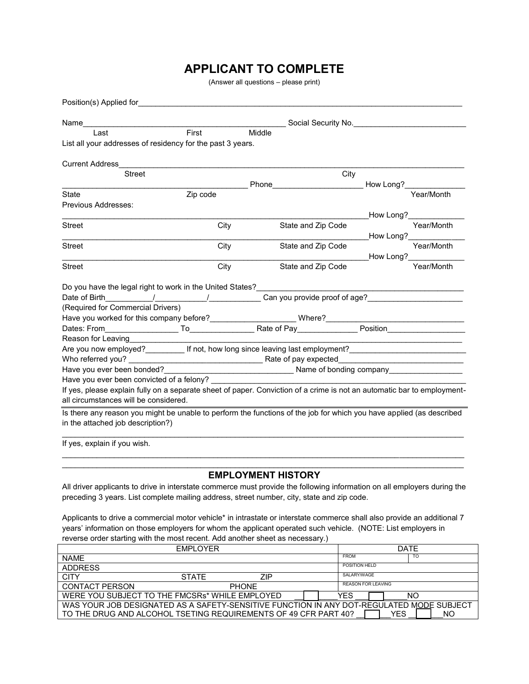## **APPLICANT TO COMPLETE**

(Answer all questions – please print)

| Position(s) Applied for <b>Example 20</b>                                                                               |          |        |                                                                                                                |           |            |
|-------------------------------------------------------------------------------------------------------------------------|----------|--------|----------------------------------------------------------------------------------------------------------------|-----------|------------|
| Name <sub>s</sub>                                                                                                       |          |        | Social Security No.                                                                                            |           |            |
| Last                                                                                                                    | First    | Middle |                                                                                                                |           |            |
| List all your addresses of residency for the past 3 years.                                                              |          |        |                                                                                                                |           |            |
| <b>Current Address</b>                                                                                                  |          |        |                                                                                                                |           |            |
| <b>Street</b>                                                                                                           |          |        |                                                                                                                | City      |            |
|                                                                                                                         |          | Phone_ |                                                                                                                | How Long? |            |
| <b>State</b>                                                                                                            | Zip code |        |                                                                                                                |           | Year/Month |
| Previous Addresses:                                                                                                     |          |        |                                                                                                                |           |            |
|                                                                                                                         |          |        |                                                                                                                | How Long? |            |
| Street                                                                                                                  | City     |        | State and Zip Code                                                                                             |           | Year/Month |
|                                                                                                                         |          |        |                                                                                                                | How Long? |            |
| <b>Street</b>                                                                                                           | City     |        | State and Zip Code                                                                                             |           | Year/Month |
|                                                                                                                         |          |        |                                                                                                                | How Long? |            |
| <b>Street</b>                                                                                                           | City     |        | State and Zip Code                                                                                             |           | Year/Month |
|                                                                                                                         |          |        |                                                                                                                |           |            |
| Do you have the legal right to work in the United States?                                                               |          |        |                                                                                                                |           |            |
|                                                                                                                         |          |        |                                                                                                                |           |            |
| (Required for Commercial Drivers)                                                                                       |          |        |                                                                                                                |           |            |
|                                                                                                                         |          |        |                                                                                                                |           |            |
|                                                                                                                         |          |        |                                                                                                                |           |            |
| Reason for Leaving                                                                                                      |          |        |                                                                                                                |           |            |
| Are you now employed?____________ If not, how long since leaving last employment?_____________________________          |          |        |                                                                                                                |           |            |
|                                                                                                                         |          |        |                                                                                                                |           |            |
| Have you ever been bonded?_________                                                                                     |          |        | Name of bonding company management of the Number of Section 1.1 and 2.1 and 2.1 and 2.1 and 2.1 and 2.1 and 2. |           |            |
| Have you ever been convicted of a felony?                                                                               |          |        |                                                                                                                |           |            |
| If yes, please explain fully on a separate sheet of paper. Conviction of a crime is not an automatic bar to employment- |          |        |                                                                                                                |           |            |
| all circumstances will be considered.                                                                                   |          |        |                                                                                                                |           |            |
| Is there any reason you might be unable to perform the functions of the job for which you have applied (as described    |          |        |                                                                                                                |           |            |
| in the attached job description?)                                                                                       |          |        |                                                                                                                |           |            |
|                                                                                                                         |          |        |                                                                                                                |           |            |
| If yes, explain if you wish.                                                                                            |          |        |                                                                                                                |           |            |

#### \_\_\_\_\_\_\_\_\_\_\_\_\_\_\_\_\_\_\_\_\_\_\_\_\_\_\_\_\_\_\_\_\_\_\_\_\_\_\_\_\_\_\_\_\_\_\_\_\_\_\_\_\_\_\_\_\_\_\_\_\_\_\_\_\_\_\_\_\_\_\_\_\_\_\_\_\_\_\_\_\_\_\_\_\_\_\_\_\_\_\_\_\_ **EMPLOYMENT HISTORY**

\_\_\_\_\_\_\_\_\_\_\_\_\_\_\_\_\_\_\_\_\_\_\_\_\_\_\_\_\_\_\_\_\_\_\_\_\_\_\_\_\_\_\_\_\_\_\_\_\_\_\_\_\_\_\_\_\_\_\_\_\_\_\_\_\_\_\_\_\_\_\_\_\_\_\_\_\_\_\_\_\_\_\_\_\_\_\_\_\_\_\_\_\_

All driver applicants to drive in interstate commerce must provide the following information on all employers during the preceding 3 years. List complete mailing address, street number, city, state and zip code.

Applicants to drive a commercial motor vehicle\* in intrastate or interstate commerce shall also provide an additional 7 years' information on those employers for whom the applicant operated such vehicle. (NOTE: List employers in reverse order starting with the most recent. Add another sheet as necessary.)

| <b>EMPLOYER</b>                                                                           |              |              |  |  | DATE               |  |     |           |    |  |
|-------------------------------------------------------------------------------------------|--------------|--------------|--|--|--------------------|--|-----|-----------|----|--|
| <b>NAME</b>                                                                               |              |              |  |  | <b>FROM</b>        |  |     | <b>TO</b> |    |  |
| <b>ADDRESS</b>                                                                            |              |              |  |  | POSITION HELD      |  |     |           |    |  |
| <b>CITY</b>                                                                               | <b>STATE</b> | ZIP          |  |  | SALARY/WAGF        |  |     |           |    |  |
| <b>CONTACT PERSON</b>                                                                     |              | <b>PHONE</b> |  |  | REASON FOR LEAVING |  |     |           |    |  |
| WERE YOU SUBJECT TO THE FMCSRs* WHILE EMPLOYED                                            |              |              |  |  | <b>YES</b>         |  |     | NΟ        |    |  |
| WAS YOUR JOB DESIGNATED AS A SAFETY-SENSITIVE FUNCTION IN ANY DOT-REGUI ATED MODE SUBJECT |              |              |  |  |                    |  |     |           |    |  |
| TO THE DRUG AND ALCOHOL TSETING REQUIREMENTS OF 49 CFR PART 40?                           |              |              |  |  |                    |  | YES |           | NΟ |  |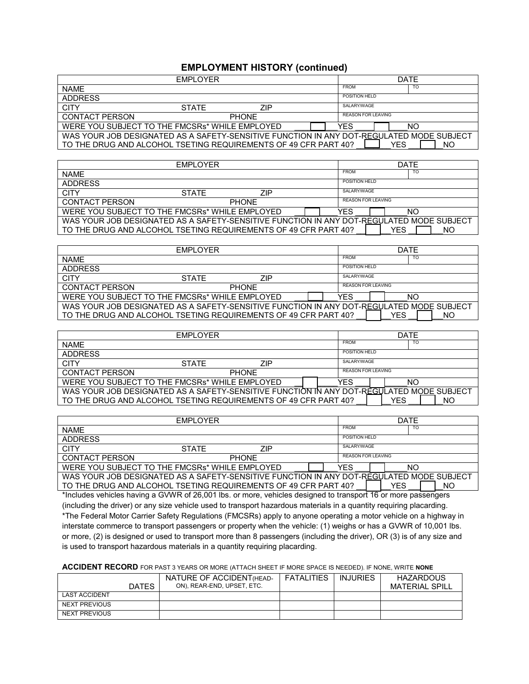### **EMPLOYMENT HISTORY (continued)**

|                                                                                          | DATE         |              |  |                    |           |
|------------------------------------------------------------------------------------------|--------------|--------------|--|--------------------|-----------|
| <b>NAME</b>                                                                              |              |              |  | <b>FROM</b>        | TO        |
| <b>ADDRESS</b>                                                                           |              |              |  | POSITION HELD      |           |
| <b>CITY</b>                                                                              | <b>STATE</b> | ZIP          |  | SALARY/WAGF        |           |
| <b>CONTACT PERSON</b>                                                                    |              | <b>PHONE</b> |  | REASON FOR LEAVING |           |
| WERE YOU SUBJECT TO THE EMCSRs* WHILE EMPLOYED                                           |              |              |  | YES                | NΟ        |
| WAS YOUR JOB DESIGNATED AS A SAFETY-SENSITIVE FUNCTION IN ANY DOT-REGULATED MODE SUBJECT |              |              |  |                    |           |
| TO THE DRUG AND ALCOHOL TSETING REQUIREMENTS OF 49 CFR PART 40?                          |              |              |  |                    | YES<br>NΟ |

| <b>EMPLOYER</b>                                                                          |              |              |  |                    | DATE |    |    |
|------------------------------------------------------------------------------------------|--------------|--------------|--|--------------------|------|----|----|
| <b>NAME</b>                                                                              |              |              |  | <b>FROM</b>        |      | то |    |
| <b>ADDRESS</b>                                                                           |              |              |  | POSITION HELD      |      |    |    |
| <b>CITY</b>                                                                              | <b>STATE</b> | ZIP          |  | SALARY/WAGE        |      |    |    |
| CONTACT PERSON                                                                           |              | <b>PHONE</b> |  | REASON FOR LEAVING |      |    |    |
| WERE YOU SUBJECT TO THE FMCSRs* WHILE EMPLOYED                                           |              |              |  | YES                |      | NΟ |    |
| WAS YOUR JOB DESIGNATED AS A SAFETY-SENSITIVE FUNCTION IN ANY DOT-REGULATED MODE SUBJECT |              |              |  |                    |      |    |    |
| TO THE DRUG AND ALCOHOL TSETING REQUIREMENTS OF 49 CFR PART 40?                          |              |              |  |                    | YES  |    | NΟ |

|                                                                                          | <b>EMPLOYER</b> |              |  |                           | <b>DATE</b> |    |
|------------------------------------------------------------------------------------------|-----------------|--------------|--|---------------------------|-------------|----|
| <b>NAME</b>                                                                              |                 |              |  | <b>FROM</b>               | TO          |    |
| <b>ADDRESS</b>                                                                           |                 |              |  | POSITION HELD             |             |    |
| <b>CITY</b>                                                                              | <b>STATE</b>    | ZIP          |  | SALARY/WAGF               |             |    |
| CONTACT PERSON                                                                           |                 | <b>PHONE</b> |  | <b>REASON FOR LEAVING</b> |             |    |
| WERE YOU SUBJECT TO THE FMCSRs* WHILE EMPLOYED                                           |                 |              |  | YES                       | NΟ          |    |
| WAS YOUR JOB DESIGNATED AS A SAFETY-SENSITIVE FUNCTION IN ANY DOT-REGULATED MODE SUBJECT |                 |              |  |                           |             |    |
| TO THE DRUG AND ALCOHOL TSETING REQUIREMENTS OF 49 CFR PART 40?                          |                 |              |  |                           | YES         | NΟ |

| <b>EMPLOYER</b>                                                                          |              |              |  |  | <b>DATE</b>               |  |     |    |    |
|------------------------------------------------------------------------------------------|--------------|--------------|--|--|---------------------------|--|-----|----|----|
| <b>NAME</b>                                                                              |              |              |  |  | <b>FROM</b>               |  |     | TΩ |    |
| <b>ADDRESS</b>                                                                           |              |              |  |  | POSITION HELD             |  |     |    |    |
| <b>CITY</b>                                                                              | <b>STATE</b> | ZIP          |  |  | SALARY/WAGE               |  |     |    |    |
| <b>CONTACT PERSON</b>                                                                    |              | <b>PHONE</b> |  |  | <b>REASON FOR LEAVING</b> |  |     |    |    |
| WERE YOU SUBJECT TO THE FMCSRs* WHILE EMPLOYED                                           |              |              |  |  | YES                       |  | NO. |    |    |
| WAS YOUR JOB DESIGNATED AS A SAFETY-SENSITIVE FUNCTION IN ANY DOT-REGULATED MODE SUBJECT |              |              |  |  |                           |  |     |    |    |
| TO THE DRUG AND ALCOHOL TSETING REQUIREMENTS OF 49 CFR PART 40?                          |              |              |  |  |                           |  | YES |    | ΝO |

| <b>EMPLOYER</b>                                                                          |              |              |  |                    | <b>DATE</b> |     |    |  |
|------------------------------------------------------------------------------------------|--------------|--------------|--|--------------------|-------------|-----|----|--|
| <b>NAME</b>                                                                              |              |              |  | <b>FROM</b>        |             | TO  |    |  |
| <b>ADDRESS</b>                                                                           |              |              |  | POSITION HELD      |             |     |    |  |
| <b>CITY</b>                                                                              | <b>STATE</b> | ZIP          |  | SALARY/WAGE        |             |     |    |  |
| CONTACT PERSON                                                                           |              | <b>PHONE</b> |  | REASON FOR LEAVING |             |     |    |  |
| WERE YOU SUBJECT TO THE FMCSRs* WHILE EMPLOYED                                           |              |              |  | YES                |             | NΟ  |    |  |
| WAS YOUR JOB DESIGNATED AS A SAFETY-SENSITIVE FUNCTION IN ANY DOT-REGULATED MODE SUBJECT |              |              |  |                    |             |     |    |  |
| TO THE DRUG AND ALCOHOL TSETING REQUIREMENTS OF 49 CFR PART 40?                          |              |              |  |                    |             | YES | ΝO |  |

\*Includes vehicles having a GVWR of 26,001 lbs. or more, vehicles designed to transport 16 or more passengers (including the driver) or any size vehicle used to transport hazardous materials in a quantity requiring placarding. \*The Federal Motor Carrier Safety Regulations (FMCSRs) apply to anyone operating a motor vehicle on a highway in interstate commerce to transport passengers or property when the vehicle: (1) weighs or has a GVWR of 10,001 lbs. or more, (2) is designed or used to transport more than 8 passengers (including the driver), OR (3) is of any size and is used to transport hazardous materials in a quantity requiring placarding.

#### **ACCIDENT RECORD** FOR PAST 3 YEARS OR MORE (ATTACH SHEET IF MORE SPACE IS NEEDED). IF NONE, WRITE **NONE**

|                      | DATES | <b>NATURE OF ACCIDENT (HEAD-</b><br>ON), REAR-END, UPSET, ETC. | <b>FATALITIES</b> | <b>INJURIES</b> | <b>HAZARDOUS</b><br><b>MATERIAL SPILL</b> |
|----------------------|-------|----------------------------------------------------------------|-------------------|-----------------|-------------------------------------------|
| <b>LAST ACCIDENT</b> |       |                                                                |                   |                 |                                           |
| NEXT PREVIOUS        |       |                                                                |                   |                 |                                           |
| NEXT PREVIOUS        |       |                                                                |                   |                 |                                           |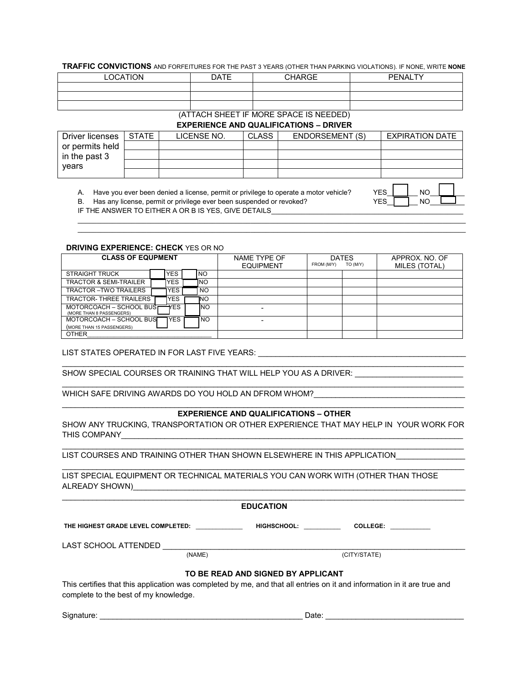#### **TRAFFIC CONVICTIONS** AND FORFEITURES FOR THE PAST 3 YEARS (OTHER THAN PARKING VIOLATIONS). IF NONE, WRITE **NONE**

| <b>_OCATION</b><br>∽ | <b>DATE</b> | <b>CHARGE</b> | <b>PENALTY</b> |
|----------------------|-------------|---------------|----------------|
|                      |             |               |                |
|                      |             |               |                |
|                      |             |               |                |

#### (ATTACH SHEET IF MORE SPACE IS NEEDED) **EXPERIENCE AND QUALIFICATIONS – DRIVER**

| Driver licenses | STATE | LICENSE NO. | <b>CLASS</b> | ENDORSEMENT (S) | <b>EXPIRATION DATE</b> |
|-----------------|-------|-------------|--------------|-----------------|------------------------|
| or permits held |       |             |              |                 |                        |
| in the past 3   |       |             |              |                 |                        |
| vears           |       |             |              |                 |                        |
|                 |       |             |              |                 |                        |

\_\_\_\_\_\_\_\_\_\_\_\_\_\_\_\_\_\_\_\_\_\_\_\_\_\_\_\_\_\_\_\_\_\_\_\_\_\_\_\_\_\_\_\_\_\_\_\_\_\_\_\_\_\_\_\_\_\_\_\_\_\_\_\_\_\_\_\_\_\_\_\_\_\_\_\_\_\_\_\_\_\_\_\_\_\_\_\_\_\_\_\_\_\_\_\_\_\_\_\_\_ \_\_\_\_\_\_\_\_\_\_\_\_\_\_\_\_\_\_\_\_\_\_\_\_\_\_\_\_\_\_\_\_\_\_\_\_\_\_\_\_\_\_\_\_\_\_\_\_\_\_\_\_\_\_\_\_\_\_\_\_\_\_\_\_\_\_\_\_\_\_\_\_\_\_\_\_\_\_\_\_\_\_\_\_\_\_\_\_\_\_\_\_\_\_\_\_\_\_\_\_\_

A. Have you ever been denied a license, permit or privilege to operate a motor vehicle? YES\_NO\_\_\_\_\_

B. Has any license, permit or privilege ever been suspended or revoked? YES TRIMO

IF THE ANSWER TO EITHER A OR B IS YES, GIVE DETAILS\_\_\_\_\_\_\_\_\_\_\_\_\_\_\_\_\_\_\_\_\_\_\_\_\_\_\_\_\_

#### **DRIVING EXPERIENCE: CHECK** YES OR NO

| <b>CLASS OF EQUPMENT</b>                             |  |             |  | NAME TYPE OF<br><b>EQUIPMENT</b> | FROM (M/Y)               | <b>DATES</b><br>TO (M/Y) | APPROX, NO. OF<br>MILES (TOTAL) |  |
|------------------------------------------------------|--|-------------|--|----------------------------------|--------------------------|--------------------------|---------------------------------|--|
| <b>STRAIGHT TRUCK</b>                                |  | <b>YES</b>  |  | <b>NO</b>                        |                          |                          |                                 |  |
| <b>TRACTOR &amp; SEMI-TRAILER</b>                    |  | <b>YES</b>  |  | <b>NO</b>                        |                          |                          |                                 |  |
| <b>TRACTOR-TWO TRAILERS</b>                          |  | <b>YES</b>  |  | NO.                              |                          |                          |                                 |  |
| <b>TRACTOR-THREE TRAILERS</b>                        |  | <b>IYES</b> |  | 1NO                              |                          |                          |                                 |  |
| MOTORCOACH - SCHOOL BUST<br>(MORE THAN 8 PASSENGERS) |  | ¶YES        |  | <b>INO</b>                       |                          |                          |                                 |  |
| MOTORCOACH - SCHOOL BUS<br>(MORE THAN 15 PASSENGERS) |  | YES.        |  | I NO                             | $\overline{\phantom{0}}$ |                          |                                 |  |
| <b>OTHER</b>                                         |  |             |  |                                  |                          |                          |                                 |  |

#### LIST STATES OPERATED IN FOR LAST FIVE YEARS: \_\_\_\_\_\_\_\_\_\_\_\_\_\_\_\_\_\_\_\_\_\_\_\_\_\_\_\_\_\_\_\_\_\_\_\_\_\_\_\_\_\_\_\_\_\_\_\_

SHOW SPECIAL COURSES OR TRAINING THAT WILL HELP YOU AS A DRIVER:

WHICH SAFE DRIVING AWARDS DO YOU HOLD AN DFROM WHOM?

#### \_\_\_\_\_\_\_\_\_\_\_\_\_\_\_\_\_\_\_\_\_\_\_\_\_\_\_\_\_\_\_\_\_\_\_\_\_\_\_\_\_\_\_\_\_\_\_\_\_\_\_\_\_\_\_\_\_\_\_\_\_\_\_\_\_\_\_\_\_\_\_\_\_\_\_\_\_\_\_\_\_\_\_\_\_\_\_\_\_\_\_\_\_ **EXPERIENCE AND QUALIFICATIONS – OTHER**

\_\_\_\_\_\_\_\_\_\_\_\_\_\_\_\_\_\_\_\_\_\_\_\_\_\_\_\_\_\_\_\_\_\_\_\_\_\_\_\_\_\_\_\_\_\_\_\_\_\_\_\_\_\_\_\_\_\_\_\_\_\_\_\_\_\_\_\_\_\_\_\_\_\_\_\_\_\_\_\_\_\_\_\_\_\_\_\_\_\_\_\_\_

\_\_\_\_\_\_\_\_\_\_\_\_\_\_\_\_\_\_\_\_\_\_\_\_\_\_\_\_\_\_\_\_\_\_\_\_\_\_\_\_\_\_\_\_\_\_\_\_\_\_\_\_\_\_\_\_\_\_\_\_\_\_\_\_\_\_\_\_\_\_\_\_\_\_\_\_\_\_\_\_\_\_\_\_\_\_\_\_\_\_\_\_\_

SHOW ANY TRUCKING, TRANSPORTATION OR OTHER EXPERIENCE THAT MAY HELP IN YOUR WORK FOR THIS COMPANY \_\_\_\_\_\_\_\_\_\_\_\_\_\_\_\_\_\_\_\_\_\_\_\_\_\_\_\_\_\_\_\_\_\_\_\_\_\_\_\_\_\_\_\_\_\_\_\_\_\_\_\_\_\_\_\_\_\_\_\_\_\_\_\_\_\_\_\_\_\_\_\_\_\_\_\_\_\_\_\_\_\_\_\_\_\_\_\_\_\_\_\_\_

\_\_\_\_\_\_\_\_\_\_\_\_\_\_\_\_\_\_\_\_\_\_\_\_\_\_\_\_\_\_\_\_\_\_\_\_\_\_\_\_\_\_\_\_\_\_\_\_\_\_\_\_\_\_\_\_\_\_\_\_\_\_\_\_\_\_\_\_\_\_\_\_\_\_\_\_\_\_\_\_\_\_\_\_\_\_\_\_\_\_\_\_\_

LIST COURSES AND TRAINING OTHER THAN SHOWN ELSEWHERE IN THIS APPLICATION

LIST SPECIAL EQUIPMENT OR TECHNICAL MATERIALS YOU CAN WORK WITH (OTHER THAN THOSE ALREADY SHOWN)

#### \_\_\_\_\_\_\_\_\_\_\_\_\_\_\_\_\_\_\_\_\_\_\_\_\_\_\_\_\_\_\_\_\_\_\_\_\_\_\_\_\_\_\_\_\_\_\_\_\_\_\_\_\_\_\_\_\_\_\_\_\_\_\_\_\_\_\_\_\_\_\_\_\_\_\_\_\_\_\_\_\_\_\_\_\_\_\_\_\_\_\_\_\_ **EDUCATION**

 **THE HIGHEST GRADE LEVEL COMPLETED:** \_\_\_\_\_\_\_\_\_\_\_\_\_\_ **HIGHSCHOOL:** \_\_\_\_\_\_\_\_\_\_\_ **COLLEGE:** \_\_\_\_\_\_\_\_\_\_\_\_

LAST SCHOOL ATTENDED \_\_\_\_\_\_\_\_\_\_\_\_\_\_\_\_\_\_\_\_\_\_\_\_\_\_\_\_\_\_\_\_\_\_\_\_\_\_\_\_\_\_\_\_\_\_\_\_\_\_\_\_\_\_\_\_\_\_\_\_\_\_\_\_\_\_\_\_\_\_

(CITY/STATE)

#### **TO BE READ AND SIGNED BY APPLICANT**

This certifies that this application was completed by me, and that all entries on it and information in it are true and complete to the best of my knowledge.

Signature: \_\_\_\_\_\_\_\_\_\_\_\_\_\_\_\_\_\_\_\_\_\_\_\_\_\_\_\_\_\_\_\_\_\_\_\_\_\_\_\_\_\_\_\_\_\_\_ Date: \_\_\_\_\_\_\_\_\_\_\_\_\_\_\_\_\_\_\_\_\_\_\_\_\_\_\_\_\_\_\_\_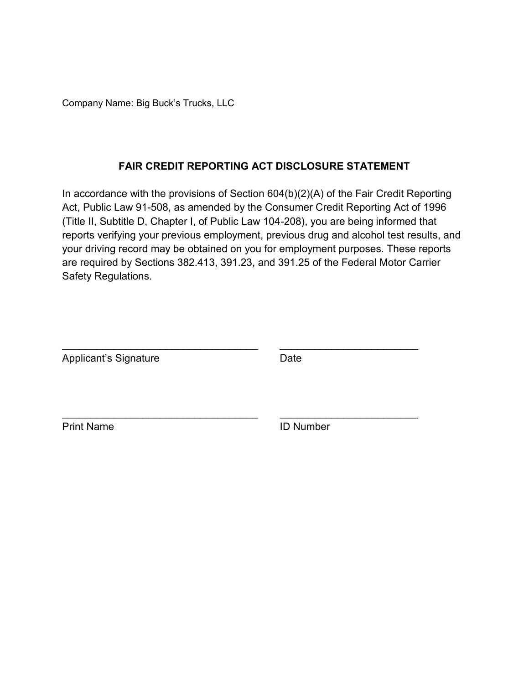Company Name: Big Buck's Trucks, LLC

## **FAIR CREDIT REPORTING ACT DISCLOSURE STATEMENT**

In accordance with the provisions of Section 604(b)(2)(A) of the Fair Credit Reporting Act, Public Law 91-508, as amended by the Consumer Credit Reporting Act of 1996 (Title II, Subtitle D, Chapter I, of Public Law 104-208), you are being informed that reports verifying your previous employment, previous drug and alcohol test results, and your driving record may be obtained on you for employment purposes. These reports are required by Sections 382.413, 391.23, and 391.25 of the Federal Motor Carrier Safety Regulations.

\_\_\_\_\_\_\_\_\_\_\_\_\_\_\_\_\_\_\_\_\_\_\_\_\_\_\_\_\_\_\_\_\_\_ \_\_\_\_\_\_\_\_\_\_\_\_\_\_\_\_\_\_\_\_\_\_\_\_

 $\overline{\phantom{a}}$  , and the contribution of the contribution of the contribution of the contribution of the contribution of the contribution of the contribution of the contribution of the contribution of the contribution of the

Applicant's Signature Date

Print Name ID Number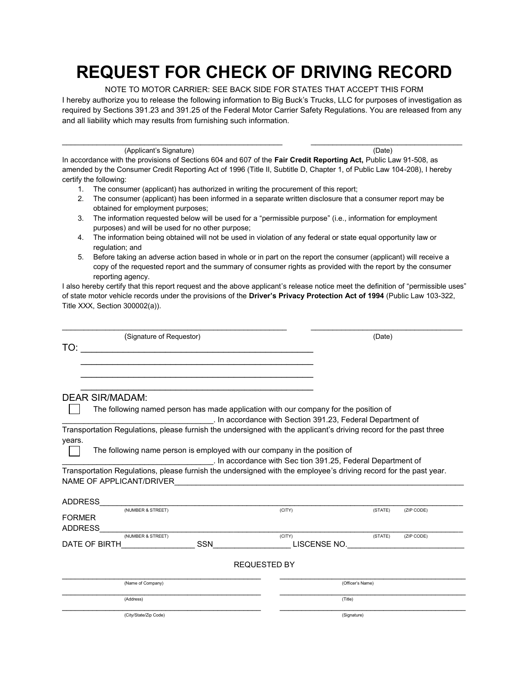## **REQUEST FOR CHECK OF DRIVING RECORD**

NOTE TO MOTOR CARRIER: SEE BACK SIDE FOR STATES THAT ACCEPT THIS FORM I hereby authorize you to release the following information to Big Buck's Trucks, LLC for purposes of investigation as required by Sections 391.23 and 391.25 of the Federal Motor Carrier Safety Regulations. You are released from any and all liability which may results from furnishing such information.

\_\_\_\_\_\_\_\_\_\_\_\_\_\_\_\_\_\_\_\_\_\_\_\_\_\_\_\_\_\_\_\_\_\_\_\_\_\_\_\_\_\_\_\_\_\_\_\_\_\_\_ \_\_\_\_\_\_\_\_\_\_\_\_\_\_\_\_\_\_\_\_\_\_\_\_\_\_\_\_\_\_\_\_\_\_\_ (Applicant's Signature) (Date)

In accordance with the provisions of Sections 604 and 607 of the **Fair Credit Reporting Act,** Public Law 91-508, as amended by the Consumer Credit Reporting Act of 1996 (Title II, Subtitle D, Chapter 1, of Public Law 104-208), I hereby certify the following:

- 1. The consumer (applicant) has authorized in writing the procurement of this report;
- 2. The consumer (applicant) has been informed in a separate written disclosure that a consumer report may be obtained for employment purposes;
- 3. The information requested below will be used for a "permissible purpose" (i.e., information for employment purposes) and will be used for no other purpose;
- 4. The information being obtained will not be used in violation of any federal or state equal opportunity law or regulation; and
- 5. Before taking an adverse action based in whole or in part on the report the consumer (applicant) will receive a copy of the requested report and the summary of consumer rights as provided with the report by the consumer reporting agency.

I also hereby certify that this report request and the above applicant's release notice meet the definition of "permissible uses" of state motor vehicle records under the provisions of the **Driver's Privacy Protection Act of 1994** (Public Law 103-322, Title XXX, Section 300002(a)).

|                                       | (Signature of Requestor)                                                                                          |                                                                           | (Date)           |            |
|---------------------------------------|-------------------------------------------------------------------------------------------------------------------|---------------------------------------------------------------------------|------------------|------------|
| TO:                                   |                                                                                                                   |                                                                           |                  |            |
|                                       |                                                                                                                   |                                                                           |                  |            |
|                                       |                                                                                                                   |                                                                           |                  |            |
| DEAR SIR/MADAM:                       |                                                                                                                   |                                                                           |                  |            |
|                                       | The following named person has made application with our company for the position of                              | In accordance with Section 391.23, Federal Department of                  |                  |            |
|                                       | Transportation Regulations, please furnish the undersigned with the applicant's driving record for the past three |                                                                           |                  |            |
| years.                                |                                                                                                                   |                                                                           |                  |            |
|                                       |                                                                                                                   | The following name person is employed with our company in the position of |                  |            |
|                                       |                                                                                                                   |                                                                           |                  |            |
|                                       |                                                                                                                   | . In accordance with Sec tion 391.25, Federal Department of               |                  |            |
|                                       | Transportation Regulations, please furnish the undersigned with the employee's driving record for the past year.  |                                                                           |                  |            |
|                                       |                                                                                                                   |                                                                           |                  |            |
|                                       |                                                                                                                   |                                                                           |                  |            |
|                                       |                                                                                                                   | (CITY)                                                                    | (STATE)          | (ZIP CODE) |
|                                       | ADDRESS (NUMBER & STREET)                                                                                         |                                                                           |                  |            |
|                                       |                                                                                                                   |                                                                           |                  |            |
|                                       | (NUMBER & STREET)                                                                                                 | (CITY)                                                                    | (STATE)          | (ZIP CODE) |
|                                       | DATE OF BIRTH SSN                                                                                                 |                                                                           | LISCENSE NO.     |            |
|                                       |                                                                                                                   | <b>REQUESTED BY</b>                                                       |                  |            |
|                                       | (Name of Company)                                                                                                 |                                                                           | (Officer's Name) |            |
| <b>FORMER</b><br>ADDRESS<br>(Address) |                                                                                                                   |                                                                           | (Title)          |            |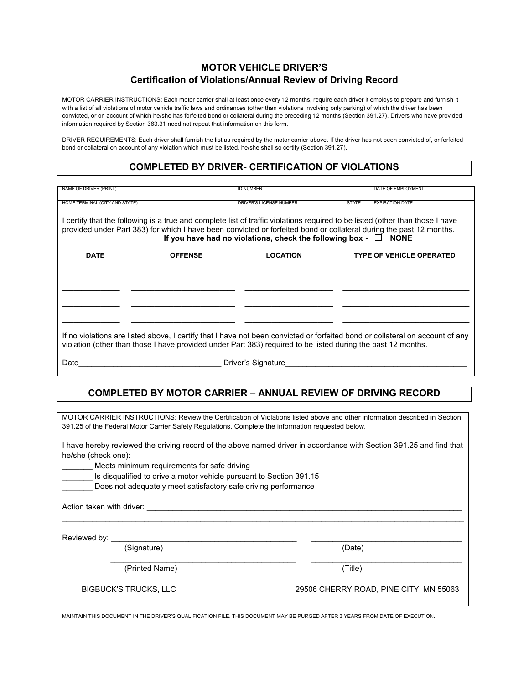## **MOTOR VEHICLE DRIVER'S Certification of Violations/Annual Review of Driving Record**

MOTOR CARRIER INSTRUCTIONS: Each motor carrier shall at least once every 12 months, require each driver it employs to prepare and furnish it with a list of all violations of motor vehicle traffic laws and ordinances (other than violations involving only parking) of which the driver has been convicted, or on account of which he/she has forfeited bond or collateral during the preceding 12 months (Section 391.27). Drivers who have provided information required by Section 383.31 need not repeat that information on this form.

DRIVER REQUIREMENTS: Each driver shall furnish the list as required by the motor carrier above. If the driver has not been convicted of, or forfeited bond or collateral on account of any violation which must be listed, he/she shall so certify (Section 391.27).

### **COMPLETED BY DRIVER- CERTIFICATION OF VIOLATIONS**

| NAME OF DRIVER (PRINT):                                                                                                                                                                                                                                                                                                                |                | <b>ID NUMBER</b>               |              | DATE OF EMPLOYMENT              |  |
|----------------------------------------------------------------------------------------------------------------------------------------------------------------------------------------------------------------------------------------------------------------------------------------------------------------------------------------|----------------|--------------------------------|--------------|---------------------------------|--|
| HOME TERMINAL (CITY AND STATE)                                                                                                                                                                                                                                                                                                         |                | <b>DRIVER'S LICENSE NUMBER</b> | <b>STATE</b> | <b>FXPIRATION DATE</b>          |  |
| I certify that the following is a true and complete list of traffic violations required to be listed (other than those I have<br>provided under Part 383) for which I have been convicted or forfeited bond or collateral during the past 12 months.<br>If you have had no violations, check the following box - $\Box$<br><b>NONE</b> |                |                                |              |                                 |  |
| <b>DATE</b>                                                                                                                                                                                                                                                                                                                            | <b>OFFENSE</b> | <b>LOCATION</b>                |              | <b>TYPE OF VEHICLE OPERATED</b> |  |
|                                                                                                                                                                                                                                                                                                                                        |                |                                |              |                                 |  |
|                                                                                                                                                                                                                                                                                                                                        |                |                                |              |                                 |  |
|                                                                                                                                                                                                                                                                                                                                        |                |                                |              |                                 |  |
|                                                                                                                                                                                                                                                                                                                                        |                |                                |              |                                 |  |
|                                                                                                                                                                                                                                                                                                                                        |                |                                |              |                                 |  |
| If no violations are listed above, I certify that I have not been convicted or forfeited bond or collateral on account of any<br>violation (other than those I have provided under Part 383) required to be listed during the past 12 months.                                                                                          |                |                                |              |                                 |  |
| Date                                                                                                                                                                                                                                                                                                                                   |                | Driver's Signature             |              |                                 |  |

### **COMPLETED BY MOTOR CARRIER – ANNUAL REVIEW OF DRIVING RECORD**

| MOTOR CARRIER INSTRUCTIONS: Review the Certification of Violations listed above and other information described in Section |                                                                                                   |                                                                                                                     |  |  |  |
|----------------------------------------------------------------------------------------------------------------------------|---------------------------------------------------------------------------------------------------|---------------------------------------------------------------------------------------------------------------------|--|--|--|
|                                                                                                                            | 391.25 of the Federal Motor Carrier Safety Regulations. Complete the information requested below. |                                                                                                                     |  |  |  |
|                                                                                                                            |                                                                                                   |                                                                                                                     |  |  |  |
|                                                                                                                            |                                                                                                   | I have hereby reviewed the driving record of the above named driver in accordance with Section 391.25 and find that |  |  |  |
| he/she (check one):                                                                                                        |                                                                                                   |                                                                                                                     |  |  |  |
|                                                                                                                            |                                                                                                   |                                                                                                                     |  |  |  |
|                                                                                                                            | Meets minimum requirements for safe driving                                                       |                                                                                                                     |  |  |  |
|                                                                                                                            | Is disqualified to drive a motor vehicle pursuant to Section 391.15                               |                                                                                                                     |  |  |  |
|                                                                                                                            | Does not adequately meet satisfactory safe driving performance                                    |                                                                                                                     |  |  |  |
|                                                                                                                            |                                                                                                   |                                                                                                                     |  |  |  |
|                                                                                                                            | Action taken with driver:                                                                         |                                                                                                                     |  |  |  |
|                                                                                                                            |                                                                                                   |                                                                                                                     |  |  |  |
|                                                                                                                            |                                                                                                   |                                                                                                                     |  |  |  |
|                                                                                                                            |                                                                                                   |                                                                                                                     |  |  |  |
|                                                                                                                            | Reviewed by: _______________                                                                      |                                                                                                                     |  |  |  |
|                                                                                                                            | (Signature)                                                                                       | (Date)                                                                                                              |  |  |  |
|                                                                                                                            |                                                                                                   |                                                                                                                     |  |  |  |
|                                                                                                                            | (Printed Name)                                                                                    | (Title)                                                                                                             |  |  |  |
|                                                                                                                            |                                                                                                   |                                                                                                                     |  |  |  |
| <b>BIGBUCK'S TRUCKS, LLC</b><br>29506 CHERRY ROAD, PINE CITY, MN 55063                                                     |                                                                                                   |                                                                                                                     |  |  |  |
|                                                                                                                            |                                                                                                   |                                                                                                                     |  |  |  |
|                                                                                                                            |                                                                                                   |                                                                                                                     |  |  |  |

MAINTAIN THIS DOCUMENT IN THE DRIVER'S QUALIFICATION FILE. THIS DOCUMENT MAY BE PURGED AFTER 3 YEARS FROM DATE OF EXECUTION.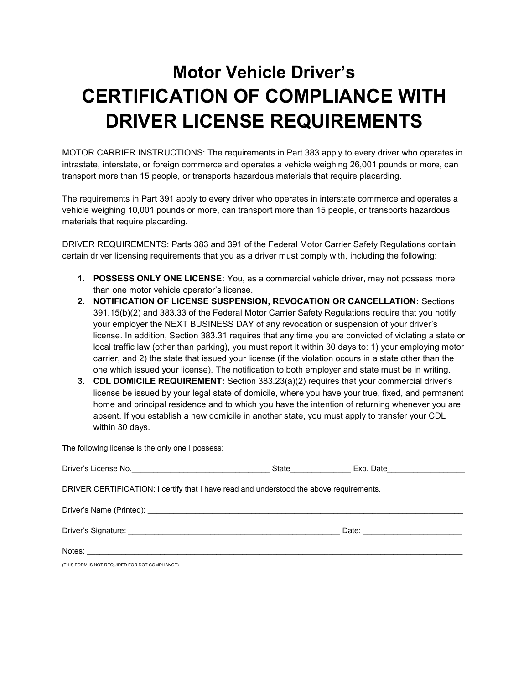## **Motor Vehicle Driver's CERTIFICATION OF COMPLIANCE WITH DRIVER LICENSE REQUIREMENTS**

MOTOR CARRIER INSTRUCTIONS: The requirements in Part 383 apply to every driver who operates in intrastate, interstate, or foreign commerce and operates a vehicle weighing 26,001 pounds or more, can transport more than 15 people, or transports hazardous materials that require placarding.

The requirements in Part 391 apply to every driver who operates in interstate commerce and operates a vehicle weighing 10,001 pounds or more, can transport more than 15 people, or transports hazardous materials that require placarding.

DRIVER REQUIREMENTS: Parts 383 and 391 of the Federal Motor Carrier Safety Regulations contain certain driver licensing requirements that you as a driver must comply with, including the following:

- **1. POSSESS ONLY ONE LICENSE:** You, as a commercial vehicle driver, may not possess more than one motor vehicle operator's license.
- **2. NOTIFICATION OF LICENSE SUSPENSION, REVOCATION OR CANCELLATION:** Sections 391.15(b)(2) and 383.33 of the Federal Motor Carrier Safety Regulations require that you notify your employer the NEXT BUSINESS DAY of any revocation or suspension of your driver's license. In addition, Section 383.31 requires that any time you are convicted of violating a state or local traffic law (other than parking), you must report it within 30 days to: 1) your employing motor carrier, and 2) the state that issued your license (if the violation occurs in a state other than the one which issued your license). The notification to both employer and state must be in writing.
- **3. CDL DOMICILE REQUIREMENT:** Section 383.23(a)(2) requires that your commercial driver's license be issued by your legal state of domicile, where you have your true, fixed, and permanent home and principal residence and to which you have the intention of returning whenever you are absent. If you establish a new domicile in another state, you must apply to transfer your CDL within 30 days.

The following license is the only one I possess:

| DRIVER CERTIFICATION: I certify that I have read and understood the above requirements. |  |
|-----------------------------------------------------------------------------------------|--|
|                                                                                         |  |
|                                                                                         |  |
|                                                                                         |  |
| (THIS FORM IS NOT REQUIRED FOR DOT COMPUANCE)                                           |  |

(THIS FORM IS NOT REQUIRED FOR DOT COMPLIANCE).